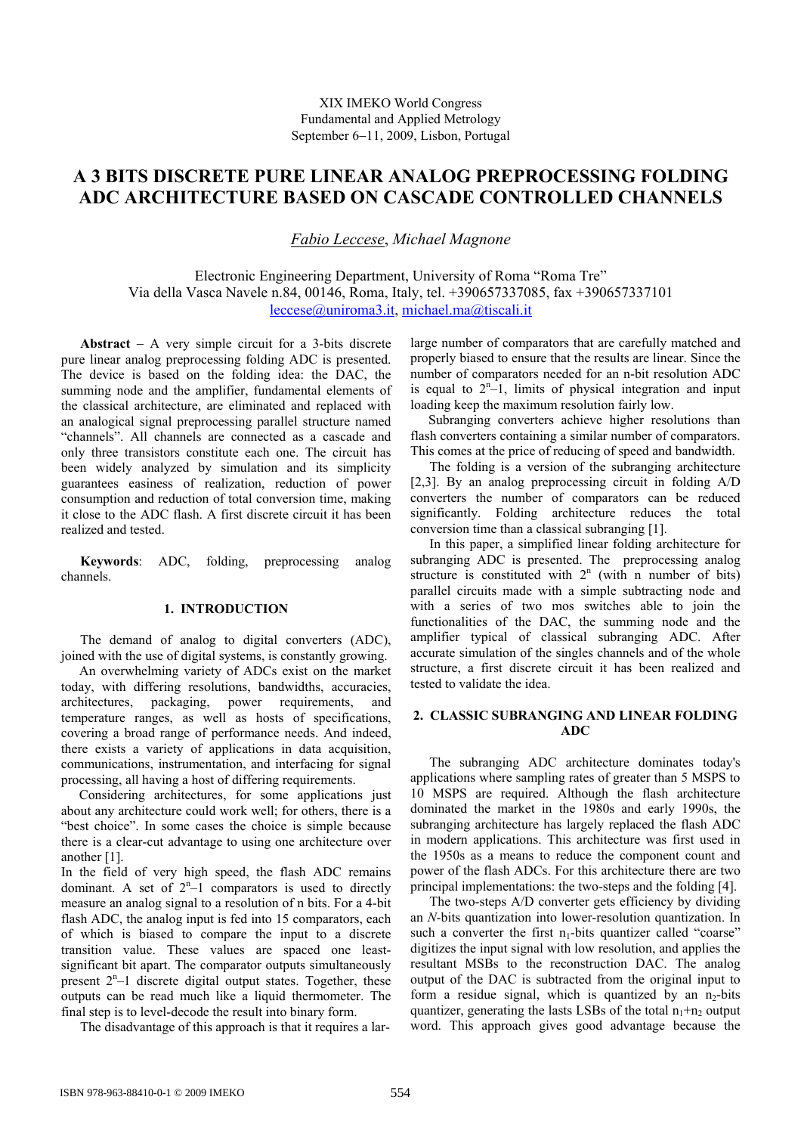# **A 3 BITS DISCRETE PURE LINEAR ANALOG PREPROCESSING FOLDING ADC ARCHITECTURE BASED ON CASCADE CONTROLLED CHANNELS**

*Fabio Leccese*, *Michael Magnone* 

Electronic Engineering Department, University of Roma "Roma Tre" Via della Vasca Navele n.84, 00146, Roma, Italy, tel. +390657337085, fax +390657337101 leccese@uniroma3.it, michael.ma@tiscali.it

**Abstract** − A very simple circuit for a 3-bits discrete pure linear analog preprocessing folding ADC is presented. The device is based on the folding idea: the DAC, the summing node and the amplifier, fundamental elements of the classical architecture, are eliminated and replaced with an analogical signal preprocessing parallel structure named "channels". All channels are connected as a cascade and only three transistors constitute each one. The circuit has been widely analyzed by simulation and its simplicity guarantees easiness of realization, reduction of power consumption and reduction of total conversion time, making it close to the ADC flash. A first discrete circuit it has been realized and tested.

**Keywords**: ADC, folding, preprocessing analog channels.

### **1. INTRODUCTION**

The demand of analog to digital converters (ADC), joined with the use of digital systems, is constantly growing.

An overwhelming variety of ADCs exist on the market today, with differing resolutions, bandwidths, accuracies, architectures, packaging, power requirements, and temperature ranges, as well as hosts of specifications, covering a broad range of performance needs. And indeed, there exists a variety of applications in data acquisition, communications, instrumentation, and interfacing for signal processing, all having a host of differing requirements.

Considering architectures, for some applications just about any architecture could work well; for others, there is a "best choice". In some cases the choice is simple because there is a clear-cut advantage to using one architecture over another [1].

In the field of very high speed, the flash ADC remains dominant. A set of  $2<sup>n</sup> - 1$  comparators is used to directly measure an analog signal to a resolution of n bits. For a 4-bit flash ADC, the analog input is fed into 15 comparators, each of which is biased to compare the input to a discrete transition value. These values are spaced one leastsignificant bit apart. The comparator outputs simultaneously present  $2^{n}-1$  discrete digital output states. Together, these outputs can be read much like a liquid thermometer. The final step is to level-decode the result into binary form.

The disadvantage of this approach is that it requires a lar-

large number of comparators that are carefully matched and properly biased to ensure that the results are linear. Since the number of comparators needed for an n-bit resolution ADC is equal to  $2^{n}-1$ , limits of physical integration and input loading keep the maximum resolution fairly low.

Subranging converters achieve higher resolutions than flash converters containing a similar number of comparators. This comes at the price of reducing of speed and bandwidth.

The folding is a version of the subranging architecture [2,3]. By an analog preprocessing circuit in folding A/D converters the number of comparators can be reduced significantly. Folding architecture reduces the total conversion time than a classical subranging [1].

In this paper, a simplified linear folding architecture for subranging ADC is presented. The preprocessing analog structure is constituted with  $2<sup>n</sup>$  (with n number of bits) parallel circuits made with a simple subtracting node and with a series of two mos switches able to join the functionalities of the DAC, the summing node and the amplifier typical of classical subranging ADC. After accurate simulation of the singles channels and of the whole structure, a first discrete circuit it has been realized and tested to validate the idea.

# **2. CLASSIC SUBRANGING AND LINEAR FOLDING ADC**

The subranging ADC architecture dominates today's applications where sampling rates of greater than 5 MSPS to 10 MSPS are required. Although the flash architecture dominated the market in the 1980s and early 1990s, the subranging architecture has largely replaced the flash ADC in modern applications. This architecture was first used in the 1950s as a means to reduce the component count and power of the flash ADCs. For this architecture there are two principal implementations: the two-steps and the folding [4].

The two-steps A/D converter gets efficiency by dividing an *N*-bits quantization into lower-resolution quantization. In such a converter the first  $n_1$ -bits quantizer called "coarse" digitizes the input signal with low resolution, and applies the resultant MSBs to the reconstruction DAC. The analog output of the DAC is subtracted from the original input to form a residue signal, which is quantized by an  $n<sub>2</sub>$ -bits quantizer, generating the lasts LSBs of the total  $n_1+n_2$  output word. This approach gives good advantage because the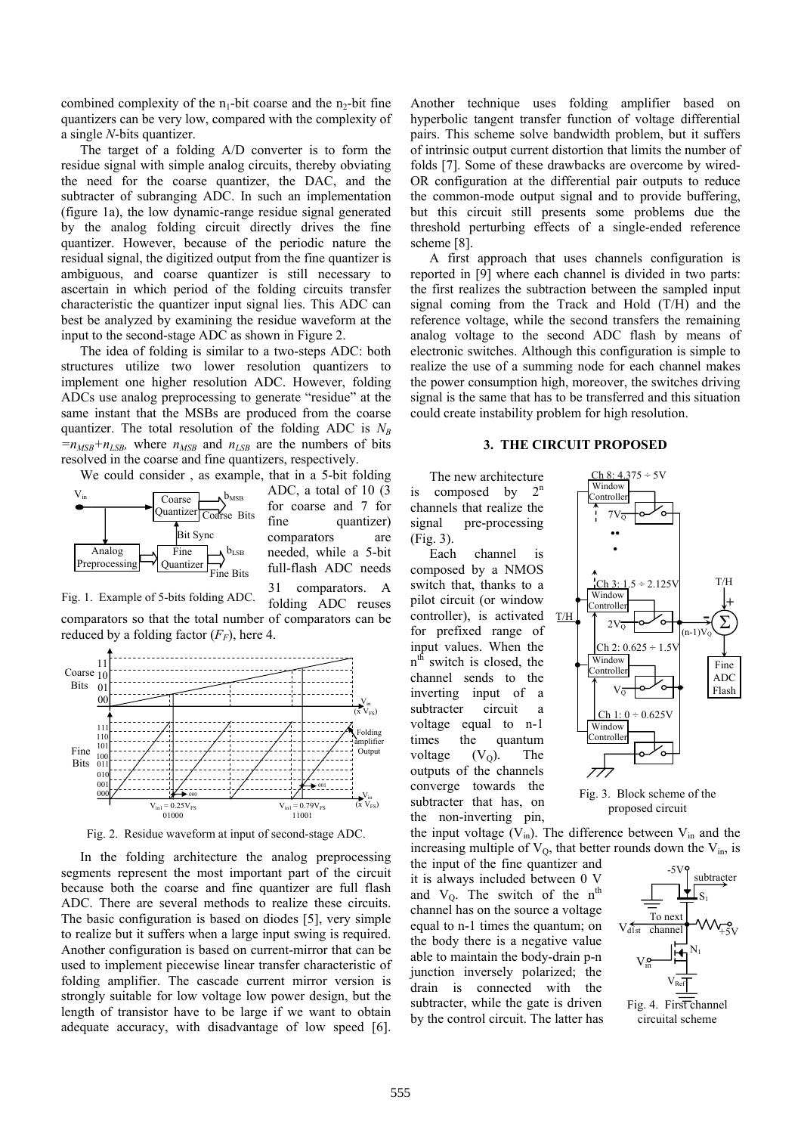combined complexity of the  $n_1$ -bit coarse and the  $n_2$ -bit fine quantizers can be very low, compared with the complexity of a single *N*-bits quantizer.

The target of a folding A/D converter is to form the residue signal with simple analog circuits, thereby obviating the need for the coarse quantizer, the DAC, and the subtracter of subranging ADC. In such an implementation (figure 1a), the low dynamic-range residue signal generated by the analog folding circuit directly drives the fine quantizer. However, because of the periodic nature the residual signal, the digitized output from the fine quantizer is ambiguous, and coarse quantizer is still necessary to ascertain in which period of the folding circuits transfer characteristic the quantizer input signal lies. This ADC can best be analyzed by examining the residue waveform at the input to the second-stage ADC as shown in Figure 2.

The idea of folding is similar to a two-steps ADC: both structures utilize two lower resolution quantizers to implement one higher resolution ADC. However, folding ADCs use analog preprocessing to generate "residue" at the same instant that the MSBs are produced from the coarse quantizer. The total resolution of the folding ADC is  $N_B$  $=n_{MSB}+n_{LSB}$ , where  $n_{MSB}$  and  $n_{LSB}$  are the numbers of bits resolved in the coarse and fine quantizers, respectively.

We could consider , as example, that in a 5-bit folding



ADC, a total of 10 (3 for coarse and 7 for fine quantizer) comparators are needed, while a 5-bit full-flash ADC needs 31 comparators.





Fig. 2. Residue waveform at input of second-stage ADC.

In the folding architecture the analog preprocessing segments represent the most important part of the circuit because both the coarse and fine quantizer are full flash ADC. There are several methods to realize these circuits. The basic configuration is based on diodes [5], very simple to realize but it suffers when a large input swing is required. Another configuration is based on current-mirror that can be used to implement piecewise linear transfer characteristic of folding amplifier. The cascade current mirror version is strongly suitable for low voltage low power design, but the length of transistor have to be large if we want to obtain adequate accuracy, with disadvantage of low speed [6].

Another technique uses folding amplifier based on hyperbolic tangent transfer function of voltage differential pairs. This scheme solve bandwidth problem, but it suffers of intrinsic output current distortion that limits the number of folds [7]. Some of these drawbacks are overcome by wired-OR configuration at the differential pair outputs to reduce the common-mode output signal and to provide buffering, but this circuit still presents some problems due the threshold perturbing effects of a single-ended reference scheme [8].

A first approach that uses channels configuration is reported in [9] where each channel is divided in two parts: the first realizes the subtraction between the sampled input signal coming from the Track and Hold (T/H) and the reference voltage, while the second transfers the remaining analog voltage to the second ADC flash by means of electronic switches. Although this configuration is simple to realize the use of a summing node for each channel makes the power consumption high, moreover, the switches driving signal is the same that has to be transferred and this situation could create instability problem for high resolution.

#### **3. THE CIRCUIT PROPOSED**

The new architecture is composed by  $2<sup>n</sup>$ channels that realize the signal pre-processing (Fig. 3).

Each channel is composed by a NMOS switch that, thanks to a pilot circuit (or window controller), is activated for prefixed range of input values. When the  $n<sup>th</sup>$  switch is closed, the channel sends to the inverting input of a subtracter circuit a voltage equal to n-1 times the quantum voltage  $(V<sub>O</sub>)$ . The outputs of the channels converge towards the subtracter that has, on the non-inverting pin,



Fig. 3. Block scheme of the proposed circuit

the input voltage  $(V_{in})$ . The difference between  $V_{in}$  and the increasing multiple of  $V<sub>O</sub>$ , that better rounds down the  $V<sub>in</sub>$ , is

the input of the fine quantizer and it is always included between 0 V and  $V_0$ . The switch of the n<sup>th</sup> channel has on the source a voltage equal to n-1 times the quantum; on the body there is a negative value able to maintain the body-drain p-n junction inversely polarized; the drain is connected with the subtracter, while the gate is driven by the control circuit. The latter has

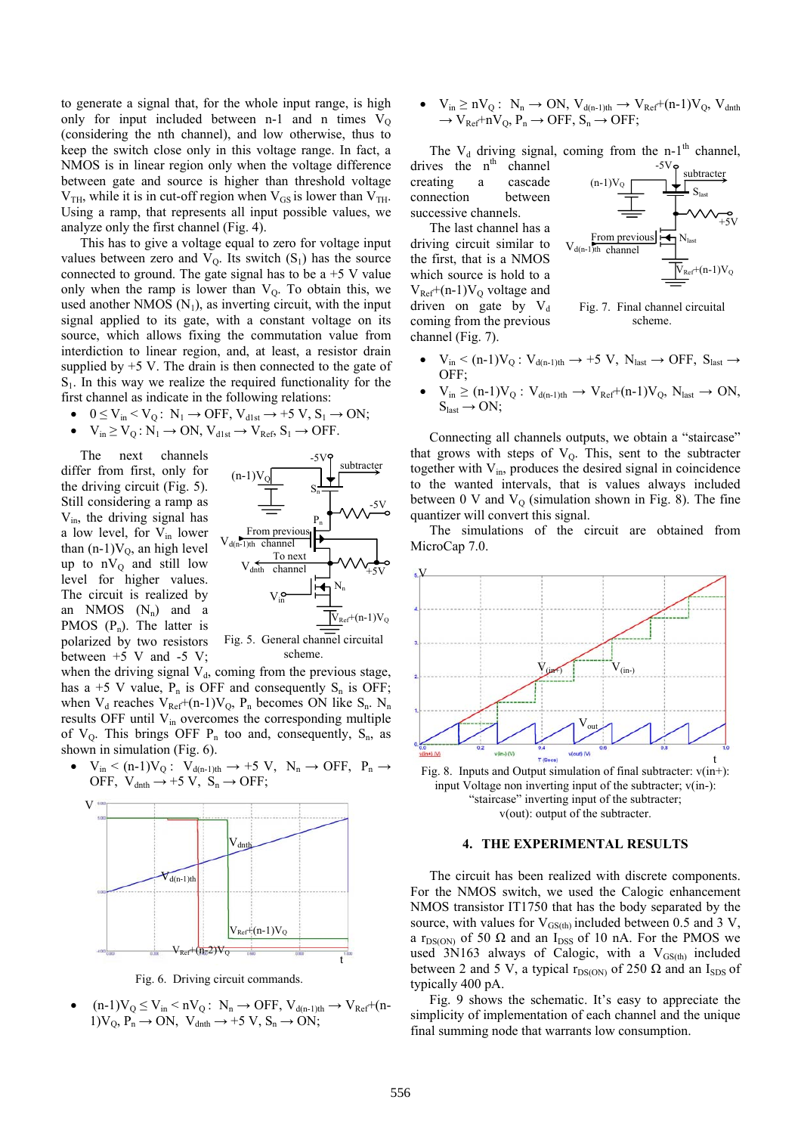to generate a signal that, for the whole input range, is high only for input included between n-1 and n times  $V<sub>O</sub>$ (considering the nth channel), and low otherwise, thus to keep the switch close only in this voltage range. In fact, a NMOS is in linear region only when the voltage difference between gate and source is higher than threshold voltage  $V<sub>TH</sub>$ , while it is in cut-off region when  $V<sub>GS</sub>$  is lower than  $V<sub>TH</sub>$ . Using a ramp, that represents all input possible values, we analyze only the first channel (Fig. 4).

This has to give a voltage equal to zero for voltage input values between zero and  $V_Q$ . Its switch  $(S_1)$  has the source connected to ground. The gate signal has to be  $a + 5$  V value only when the ramp is lower than  $V_0$ . To obtain this, we used another NMOS  $(N_1)$ , as inverting circuit, with the input signal applied to its gate, with a constant voltage on its source, which allows fixing the commutation value from interdiction to linear region, and, at least, a resistor drain supplied by  $+5$  V. The drain is then connected to the gate of  $S<sub>1</sub>$ . In this way we realize the required functionality for the first channel as indicate in the following relations:

•  $0 \le V_{in} \le V_Q$ :  $N_1 \rightarrow$  OFF,  $V_{d1st} \rightarrow$  +5 V,  $S_1 \rightarrow$  ON;

• 
$$
V_{in} \ge V_Q : N_1 \to ON
$$
,  $V_{d1st} \to V_{Ref}$ ,  $S_1 \to OFF$ .

The next channels differ from first, only for the driving circuit (Fig. 5). Still considering a ramp as  $V_{in}$ , the driving signal has a low level, for V<sub>in</sub> lower than  $(n-1)V_Q$ , an high level up to  $nV_Q$  and still low level for higher values. The circuit is realized by an NMOS  $(N_n)$  and a PMOS  $(P_n)$ . The latter is polarized by two resistors between  $+5$  V and  $-5$  V;



scheme.

when the driving signal  $V_d$ , coming from the previous stage, has a +5 V value,  $P_n$  is OFF and consequently  $S_n$  is OFF; when  $V_d$  reaches  $V_{Ref}+(n-1)V_Q$ ,  $P_n$  becomes ON like  $S_n$ . N<sub>n</sub> results OFF until  $V_{in}$  overcomes the corresponding multiple of  $V_0$ . This brings OFF  $P_n$  too and, consequently,  $S_n$ , as shown in simulation (Fig. 6).

•  $V_{in} < (n-1)V_Q$ :  $V_{d(n-1)th} \rightarrow +5 V$ ,  $N_n \rightarrow$  OFF,  $P_n \rightarrow$ OFF,  $V_{\text{dnth}} \rightarrow +5 V$ ,  $S_n \rightarrow$  OFF;



Fig. 6. Driving circuit commands.

 $(n-1)V_Q \leq V_{in} \leq nV_Q$ :  $N_n \rightarrow$  OFF,  $V_{d(n-1)th} \rightarrow V_{Ref}+(n-1)V_Q$ 1) $V_0$ ,  $P_n \rightarrow ON$ ,  $V_{dnth} \rightarrow +5 V$ ,  $S_n \rightarrow ON$ ;

 $V_{in} \geq nV_Q$ :  $N_n \rightarrow ON$ ,  $V_{d(n-1)th} \rightarrow V_{Ref}+(n-1)V_Q$ ,  $V_{dnth}$  $\rightarrow$  V<sub>Ref</sub>+nV<sub>O</sub>, P<sub>n</sub>  $\rightarrow$  OFF, S<sub>n</sub>  $\rightarrow$  OFF;

The  $V_d$  driving signal, coming from the n-1<sup>th</sup> channel, drives the  $n<sup>th</sup>$  channel creating a cascade connection between successive channels. subtracter  $S<sub>last</sub>$  $(n-1)V_Q$ 

The last channel has a driving circuit similar to the first, that is a NMOS which source is hold to a  $V_{Ref}$ +(n-1) $V_{O}$  voltage and driven on gate by  $V_d$ coming from the previous channel (Fig. 7).



Fig. 7. Final channel circuital scheme.

- $V_{in}<(n\text{-}1)V_{Q}\colon V_{d(n\text{-}1)th}\to{}+5\ V,\ N_{last}\to{}{\rm OFF},\ S_{last}\to{}$ OFF;
- $V_{in} \ge (n-1)V_Q$ :  $V_{d(n-1)th} \rightarrow V_{Ref}+(n-1)V_Q$ ,  $N_{last} \rightarrow ON$ ,  $S_{last} \rightarrow ON;$

Connecting all channels outputs, we obtain a "staircase" that grows with steps of  $V<sub>Q</sub>$ . This, sent to the subtracter together with  $V_{in}$ , produces the desired signal in coincidence to the wanted intervals, that is values always included between 0 V and  $V<sub>Q</sub>$  (simulation shown in Fig. 8). The fine quantizer will convert this signal.

The simulations of the circuit are obtained from MicroCap 7.0.



Fig. 8. Inputs and Output simulation of final subtracter:  $v(in+)$ : input Voltage non inverting input of the subtracter; v(in-): "staircase" inverting input of the subtracter; v(out): output of the subtracter.

## **4. THE EXPERIMENTAL RESULTS**

The circuit has been realized with discrete components. For the NMOS switch, we used the Calogic enhancement NMOS transistor IT1750 that has the body separated by the source, with values for  $V_{GS(th)}$  included between 0.5 and 3 V, a r<sub>DS(ON)</sub> of 50  $\Omega$  and an I<sub>DSS</sub> of 10 nA. For the PMOS we used 3N163 always of Calogic, with a  $V_{GS(th)}$  included between 2 and 5 V, a typical  $r_{DS(ON)}$  of 250  $\Omega$  and an I<sub>SDS</sub> of typically 400 pA.

Fig. 9 shows the schematic. It's easy to appreciate the simplicity of implementation of each channel and the unique final summing node that warrants low consumption.